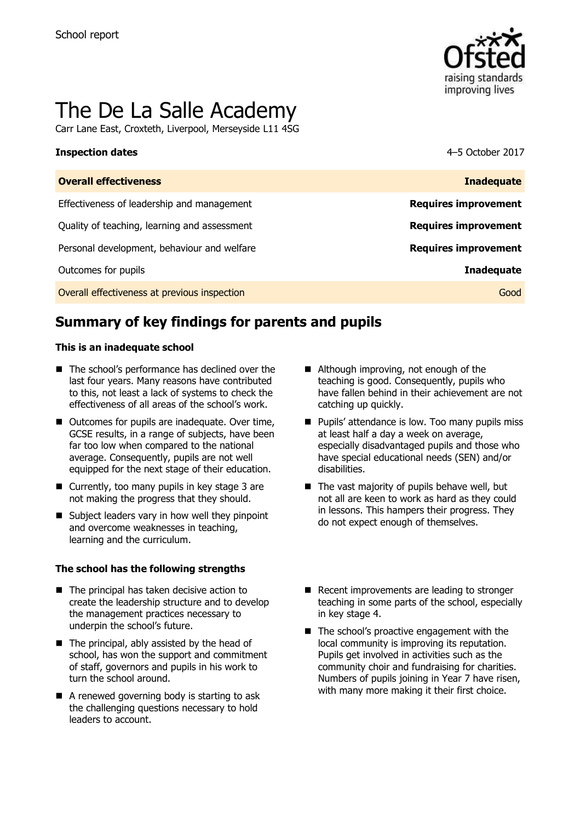

# The De La Salle Academy

Carr Lane East, Croxteth, Liverpool, Merseyside L11 4SG

### **Inspection dates** 4–5 October 2017

| <b>Overall effectiveness</b>                 | <b>Inadequate</b>           |
|----------------------------------------------|-----------------------------|
| Effectiveness of leadership and management   | <b>Requires improvement</b> |
| Quality of teaching, learning and assessment | <b>Requires improvement</b> |
| Personal development, behaviour and welfare  | <b>Requires improvement</b> |
| Outcomes for pupils                          | <b>Inadequate</b>           |
| Overall effectiveness at previous inspection | Good                        |

# **Summary of key findings for parents and pupils**

### **This is an inadequate school**

- The school's performance has declined over the last four years. Many reasons have contributed to this, not least a lack of systems to check the effectiveness of all areas of the school's work.
- Outcomes for pupils are inadequate. Over time, GCSE results, in a range of subjects, have been far too low when compared to the national average. Consequently, pupils are not well equipped for the next stage of their education.
- Currently, too many pupils in key stage 3 are not making the progress that they should.
- Subject leaders vary in how well they pinpoint and overcome weaknesses in teaching, learning and the curriculum.

### **The school has the following strengths**

- $\blacksquare$  The principal has taken decisive action to create the leadership structure and to develop the management practices necessary to underpin the school's future.
- $\blacksquare$  The principal, ably assisted by the head of school, has won the support and commitment of staff, governors and pupils in his work to turn the school around.
- A renewed governing body is starting to ask the challenging questions necessary to hold leaders to account.
- Although improving, not enough of the teaching is good. Consequently, pupils who have fallen behind in their achievement are not catching up quickly.
- **Pupils' attendance is low. Too many pupils miss** at least half a day a week on average, especially disadvantaged pupils and those who have special educational needs (SEN) and/or disabilities.
- $\blacksquare$  The vast majority of pupils behave well, but not all are keen to work as hard as they could in lessons. This hampers their progress. They do not expect enough of themselves.
- Recent improvements are leading to stronger teaching in some parts of the school, especially in key stage 4.
- The school's proactive engagement with the local community is improving its reputation. Pupils get involved in activities such as the community choir and fundraising for charities. Numbers of pupils joining in Year 7 have risen, with many more making it their first choice.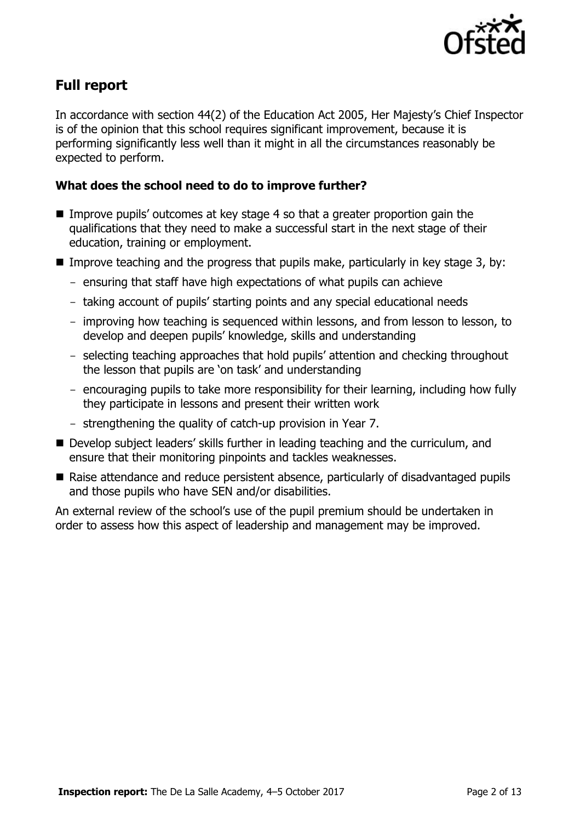

## **Full report**

In accordance with section 44(2) of the Education Act 2005, Her Majesty's Chief Inspector is of the opinion that this school requires significant improvement, because it is performing significantly less well than it might in all the circumstances reasonably be expected to perform.

### **What does the school need to do to improve further?**

- Improve pupils' outcomes at key stage 4 so that a greater proportion gain the qualifications that they need to make a successful start in the next stage of their education, training or employment.
- Improve teaching and the progress that pupils make, particularly in key stage 3, by:
	- ensuring that staff have high expectations of what pupils can achieve
	- taking account of pupils' starting points and any special educational needs
	- improving how teaching is sequenced within lessons, and from lesson to lesson, to develop and deepen pupils' knowledge, skills and understanding
	- selecting teaching approaches that hold pupils' attention and checking throughout the lesson that pupils are 'on task' and understanding
	- encouraging pupils to take more responsibility for their learning, including how fully they participate in lessons and present their written work
	- strengthening the quality of catch-up provision in Year 7.
- Develop subject leaders' skills further in leading teaching and the curriculum, and ensure that their monitoring pinpoints and tackles weaknesses.
- Raise attendance and reduce persistent absence, particularly of disadvantaged pupils and those pupils who have SEN and/or disabilities.

An external review of the school's use of the pupil premium should be undertaken in order to assess how this aspect of leadership and management may be improved.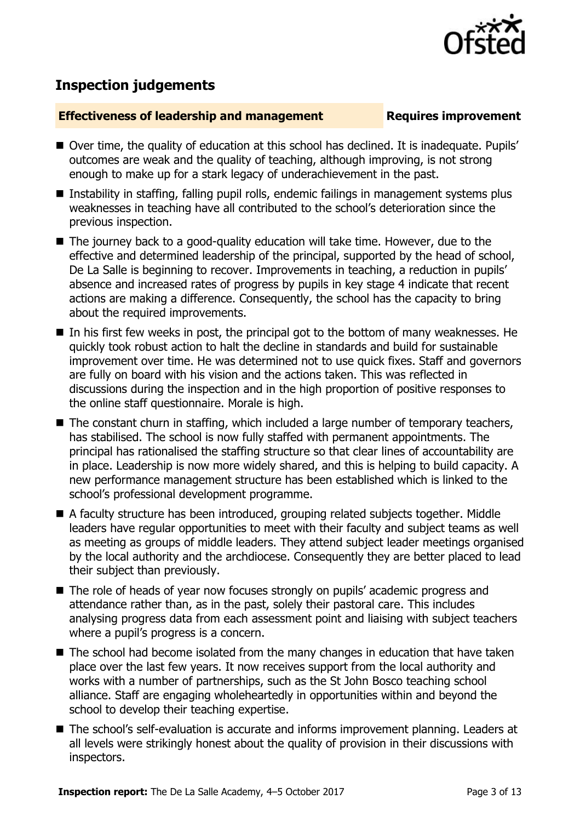

# **Inspection judgements**

### **Effectiveness of leadership and management Requires improvement**

- Over time, the quality of education at this school has declined. It is inadequate. Pupils' outcomes are weak and the quality of teaching, although improving, is not strong enough to make up for a stark legacy of underachievement in the past.
- Instability in staffing, falling pupil rolls, endemic failings in management systems plus weaknesses in teaching have all contributed to the school's deterioration since the previous inspection.
- The journey back to a good-quality education will take time. However, due to the effective and determined leadership of the principal, supported by the head of school, De La Salle is beginning to recover. Improvements in teaching, a reduction in pupils' absence and increased rates of progress by pupils in key stage 4 indicate that recent actions are making a difference. Consequently, the school has the capacity to bring about the required improvements.
- $\blacksquare$  In his first few weeks in post, the principal got to the bottom of many weaknesses. He quickly took robust action to halt the decline in standards and build for sustainable improvement over time. He was determined not to use quick fixes. Staff and governors are fully on board with his vision and the actions taken. This was reflected in discussions during the inspection and in the high proportion of positive responses to the online staff questionnaire. Morale is high.
- The constant churn in staffing, which included a large number of temporary teachers, has stabilised. The school is now fully staffed with permanent appointments. The principal has rationalised the staffing structure so that clear lines of accountability are in place. Leadership is now more widely shared, and this is helping to build capacity. A new performance management structure has been established which is linked to the school's professional development programme.
- A faculty structure has been introduced, grouping related subjects together. Middle leaders have regular opportunities to meet with their faculty and subject teams as well as meeting as groups of middle leaders. They attend subject leader meetings organised by the local authority and the archdiocese. Consequently they are better placed to lead their subject than previously.
- The role of heads of year now focuses strongly on pupils' academic progress and attendance rather than, as in the past, solely their pastoral care. This includes analysing progress data from each assessment point and liaising with subject teachers where a pupil's progress is a concern.
- The school had become isolated from the many changes in education that have taken place over the last few years. It now receives support from the local authority and works with a number of partnerships, such as the St John Bosco teaching school alliance. Staff are engaging wholeheartedly in opportunities within and beyond the school to develop their teaching expertise.
- The school's self-evaluation is accurate and informs improvement planning. Leaders at all levels were strikingly honest about the quality of provision in their discussions with inspectors.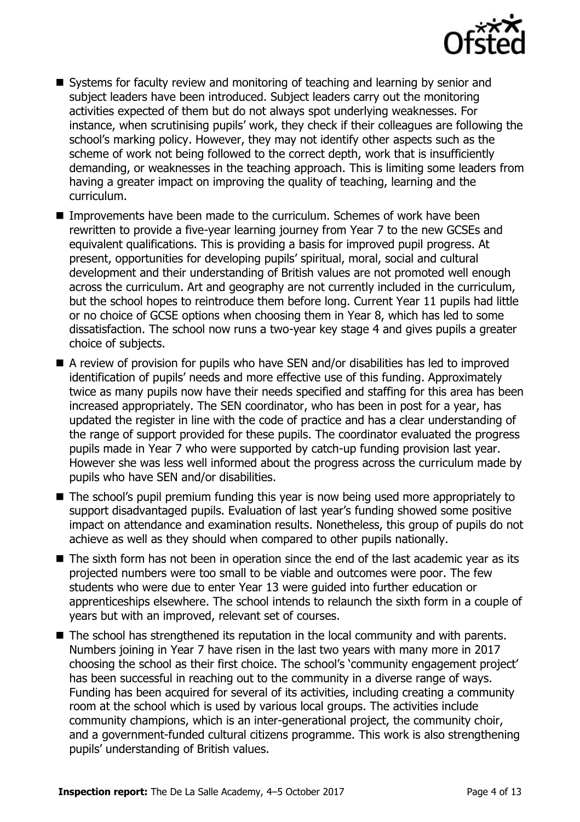

- Systems for faculty review and monitoring of teaching and learning by senior and subject leaders have been introduced. Subject leaders carry out the monitoring activities expected of them but do not always spot underlying weaknesses. For instance, when scrutinising pupils' work, they check if their colleagues are following the school's marking policy. However, they may not identify other aspects such as the scheme of work not being followed to the correct depth, work that is insufficiently demanding, or weaknesses in the teaching approach. This is limiting some leaders from having a greater impact on improving the quality of teaching, learning and the curriculum.
- Improvements have been made to the curriculum. Schemes of work have been rewritten to provide a five-year learning journey from Year 7 to the new GCSEs and equivalent qualifications. This is providing a basis for improved pupil progress. At present, opportunities for developing pupils' spiritual, moral, social and cultural development and their understanding of British values are not promoted well enough across the curriculum. Art and geography are not currently included in the curriculum, but the school hopes to reintroduce them before long. Current Year 11 pupils had little or no choice of GCSE options when choosing them in Year 8, which has led to some dissatisfaction. The school now runs a two-year key stage 4 and gives pupils a greater choice of subjects.
- A review of provision for pupils who have SEN and/or disabilities has led to improved identification of pupils' needs and more effective use of this funding. Approximately twice as many pupils now have their needs specified and staffing for this area has been increased appropriately. The SEN coordinator, who has been in post for a year, has updated the register in line with the code of practice and has a clear understanding of the range of support provided for these pupils. The coordinator evaluated the progress pupils made in Year 7 who were supported by catch-up funding provision last year. However she was less well informed about the progress across the curriculum made by pupils who have SEN and/or disabilities.
- The school's pupil premium funding this year is now being used more appropriately to support disadvantaged pupils. Evaluation of last year's funding showed some positive impact on attendance and examination results. Nonetheless, this group of pupils do not achieve as well as they should when compared to other pupils nationally.
- The sixth form has not been in operation since the end of the last academic year as its projected numbers were too small to be viable and outcomes were poor. The few students who were due to enter Year 13 were guided into further education or apprenticeships elsewhere. The school intends to relaunch the sixth form in a couple of years but with an improved, relevant set of courses.
- The school has strengthened its reputation in the local community and with parents. Numbers joining in Year 7 have risen in the last two years with many more in 2017 choosing the school as their first choice. The school's 'community engagement project' has been successful in reaching out to the community in a diverse range of ways. Funding has been acquired for several of its activities, including creating a community room at the school which is used by various local groups. The activities include community champions, which is an inter-generational project, the community choir, and a government-funded cultural citizens programme. This work is also strengthening pupils' understanding of British values.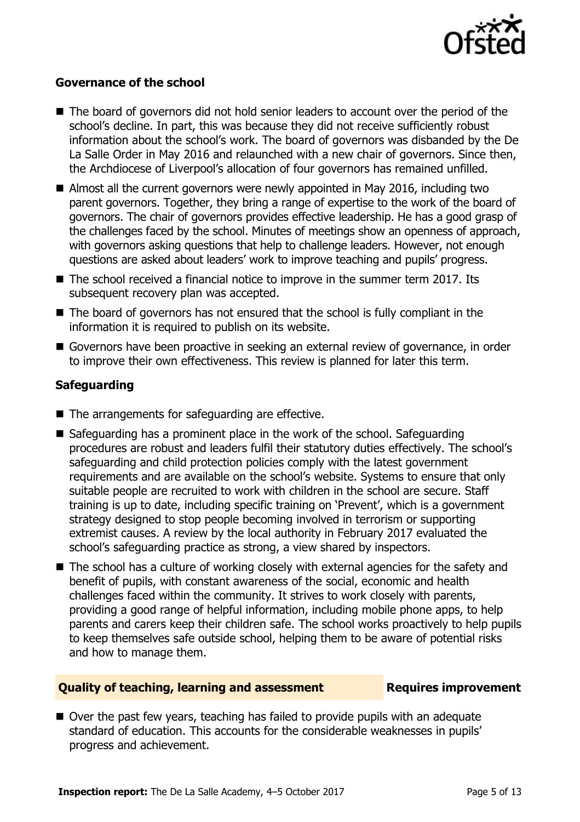

### **Governance of the school**

- The board of governors did not hold senior leaders to account over the period of the school's decline. In part, this was because they did not receive sufficiently robust information about the school's work. The board of governors was disbanded by the De La Salle Order in May 2016 and relaunched with a new chair of governors. Since then, the Archdiocese of Liverpool's allocation of four governors has remained unfilled.
- Almost all the current governors were newly appointed in May 2016, including two parent governors. Together, they bring a range of expertise to the work of the board of governors. The chair of governors provides effective leadership. He has a good grasp of the challenges faced by the school. Minutes of meetings show an openness of approach, with governors asking questions that help to challenge leaders. However, not enough questions are asked about leaders' work to improve teaching and pupils' progress.
- $\blacksquare$  The school received a financial notice to improve in the summer term 2017. Its subsequent recovery plan was accepted.
- $\blacksquare$  The board of governors has not ensured that the school is fully compliant in the information it is required to publish on its website.
- Governors have been proactive in seeking an external review of governance, in order to improve their own effectiveness. This review is planned for later this term.

### **Safeguarding**

- $\blacksquare$  The arrangements for safeguarding are effective.
- Safeguarding has a prominent place in the work of the school. Safeguarding procedures are robust and leaders fulfil their statutory duties effectively. The school's safeguarding and child protection policies comply with the latest government requirements and are available on the school's website. Systems to ensure that only suitable people are recruited to work with children in the school are secure. Staff training is up to date, including specific training on 'Prevent', which is a government strategy designed to stop people becoming involved in terrorism or supporting extremist causes. A review by the local authority in February 2017 evaluated the school's safeguarding practice as strong, a view shared by inspectors.
- The school has a culture of working closely with external agencies for the safety and benefit of pupils, with constant awareness of the social, economic and health challenges faced within the community. It strives to work closely with parents, providing a good range of helpful information, including mobile phone apps, to help parents and carers keep their children safe. The school works proactively to help pupils to keep themselves safe outside school, helping them to be aware of potential risks and how to manage them.

### **Quality of teaching, learning and assessment Fig. 2.1 Requires improvement**

■ Over the past few years, teaching has failed to provide pupils with an adequate standard of education. This accounts for the considerable weaknesses in pupils' progress and achievement.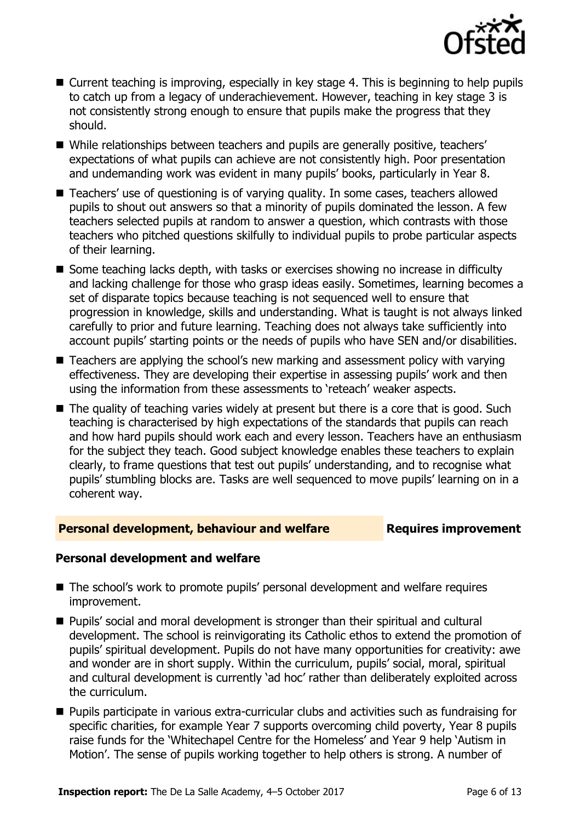

- Current teaching is improving, especially in key stage 4. This is beginning to help pupils to catch up from a legacy of underachievement. However, teaching in key stage 3 is not consistently strong enough to ensure that pupils make the progress that they should.
- While relationships between teachers and pupils are generally positive, teachers' expectations of what pupils can achieve are not consistently high. Poor presentation and undemanding work was evident in many pupils' books, particularly in Year 8.
- Teachers' use of questioning is of varying quality. In some cases, teachers allowed pupils to shout out answers so that a minority of pupils dominated the lesson. A few teachers selected pupils at random to answer a question, which contrasts with those teachers who pitched questions skilfully to individual pupils to probe particular aspects of their learning.
- Some teaching lacks depth, with tasks or exercises showing no increase in difficulty and lacking challenge for those who grasp ideas easily. Sometimes, learning becomes a set of disparate topics because teaching is not sequenced well to ensure that progression in knowledge, skills and understanding. What is taught is not always linked carefully to prior and future learning. Teaching does not always take sufficiently into account pupils' starting points or the needs of pupils who have SEN and/or disabilities.
- Teachers are applying the school's new marking and assessment policy with varying effectiveness. They are developing their expertise in assessing pupils' work and then using the information from these assessments to 'reteach' weaker aspects.
- The quality of teaching varies widely at present but there is a core that is good. Such teaching is characterised by high expectations of the standards that pupils can reach and how hard pupils should work each and every lesson. Teachers have an enthusiasm for the subject they teach. Good subject knowledge enables these teachers to explain clearly, to frame questions that test out pupils' understanding, and to recognise what pupils' stumbling blocks are. Tasks are well sequenced to move pupils' learning on in a coherent way.

### **Personal development, behaviour and welfare <b>Requires improvement**

### **Personal development and welfare**

- The school's work to promote pupils' personal development and welfare requires improvement.
- Pupils' social and moral development is stronger than their spiritual and cultural development. The school is reinvigorating its Catholic ethos to extend the promotion of pupils' spiritual development. Pupils do not have many opportunities for creativity: awe and wonder are in short supply. Within the curriculum, pupils' social, moral, spiritual and cultural development is currently 'ad hoc' rather than deliberately exploited across the curriculum.
- **Pupils participate in various extra-curricular clubs and activities such as fundraising for** specific charities, for example Year 7 supports overcoming child poverty, Year 8 pupils raise funds for the 'Whitechapel Centre for the Homeless' and Year 9 help 'Autism in Motion'. The sense of pupils working together to help others is strong. A number of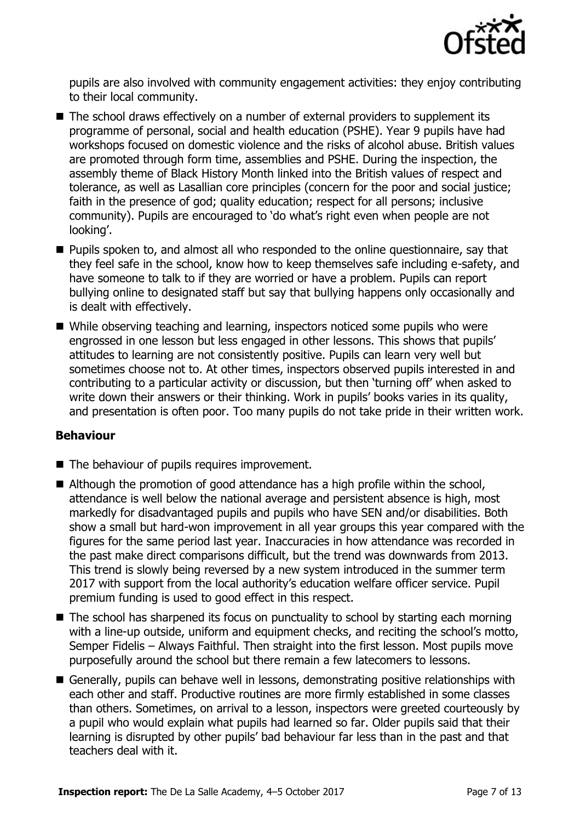

pupils are also involved with community engagement activities: they enjoy contributing to their local community.

- The school draws effectively on a number of external providers to supplement its programme of personal, social and health education (PSHE). Year 9 pupils have had workshops focused on domestic violence and the risks of alcohol abuse. British values are promoted through form time, assemblies and PSHE. During the inspection, the assembly theme of Black History Month linked into the British values of respect and tolerance, as well as Lasallian core principles (concern for the poor and social justice; faith in the presence of god; quality education; respect for all persons; inclusive community). Pupils are encouraged to 'do what's right even when people are not looking'.
- **Pupils spoken to, and almost all who responded to the online questionnaire, say that** they feel safe in the school, know how to keep themselves safe including e-safety, and have someone to talk to if they are worried or have a problem. Pupils can report bullying online to designated staff but say that bullying happens only occasionally and is dealt with effectively.
- While observing teaching and learning, inspectors noticed some pupils who were engrossed in one lesson but less engaged in other lessons. This shows that pupils' attitudes to learning are not consistently positive. Pupils can learn very well but sometimes choose not to. At other times, inspectors observed pupils interested in and contributing to a particular activity or discussion, but then 'turning off' when asked to write down their answers or their thinking. Work in pupils' books varies in its quality, and presentation is often poor. Too many pupils do not take pride in their written work.

### **Behaviour**

- The behaviour of pupils requires improvement.
- Although the promotion of good attendance has a high profile within the school, attendance is well below the national average and persistent absence is high, most markedly for disadvantaged pupils and pupils who have SEN and/or disabilities. Both show a small but hard-won improvement in all year groups this year compared with the figures for the same period last year. Inaccuracies in how attendance was recorded in the past make direct comparisons difficult, but the trend was downwards from 2013. This trend is slowly being reversed by a new system introduced in the summer term 2017 with support from the local authority's education welfare officer service. Pupil premium funding is used to good effect in this respect.
- The school has sharpened its focus on punctuality to school by starting each morning with a line-up outside, uniform and equipment checks, and reciting the school's motto, Semper Fidelis – Always Faithful. Then straight into the first lesson. Most pupils move purposefully around the school but there remain a few latecomers to lessons.
- Generally, pupils can behave well in lessons, demonstrating positive relationships with each other and staff. Productive routines are more firmly established in some classes than others. Sometimes, on arrival to a lesson, inspectors were greeted courteously by a pupil who would explain what pupils had learned so far. Older pupils said that their learning is disrupted by other pupils' bad behaviour far less than in the past and that teachers deal with it.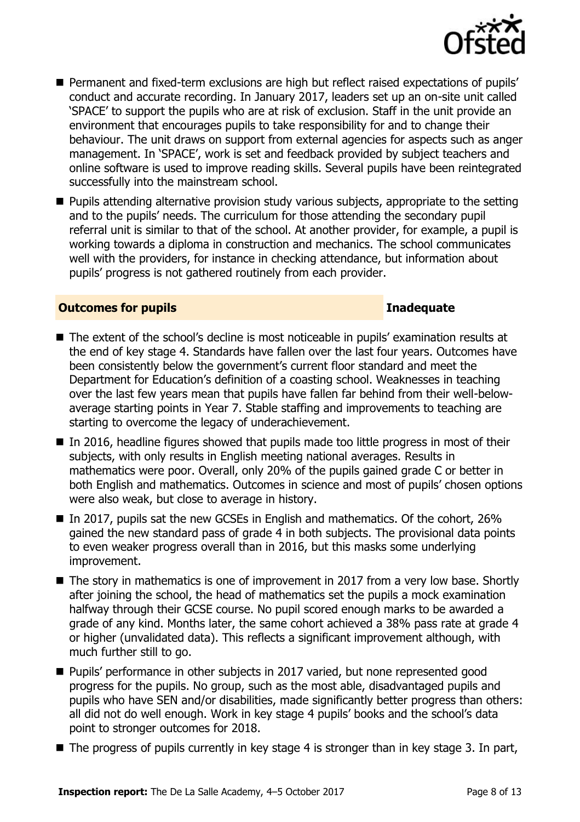

**Permanent and fixed-term exclusions are high but reflect raised expectations of pupils'** conduct and accurate recording. In January 2017, leaders set up an on-site unit called 'SPACE' to support the pupils who are at risk of exclusion. Staff in the unit provide an environment that encourages pupils to take responsibility for and to change their behaviour. The unit draws on support from external agencies for aspects such as anger management. In 'SPACE', work is set and feedback provided by subject teachers and online software is used to improve reading skills. Several pupils have been reintegrated successfully into the mainstream school.

**Pupils attending alternative provision study various subjects, appropriate to the setting** and to the pupils' needs. The curriculum for those attending the secondary pupil referral unit is similar to that of the school. At another provider, for example, a pupil is working towards a diploma in construction and mechanics. The school communicates well with the providers, for instance in checking attendance, but information about pupils' progress is not gathered routinely from each provider.

### **Outcomes for pupils Inadequate Inadequate**

- The extent of the school's decline is most noticeable in pupils' examination results at the end of key stage 4. Standards have fallen over the last four years. Outcomes have been consistently below the government's current floor standard and meet the Department for Education's definition of a coasting school. Weaknesses in teaching over the last few years mean that pupils have fallen far behind from their well-belowaverage starting points in Year 7. Stable staffing and improvements to teaching are starting to overcome the legacy of underachievement.
- $\blacksquare$  In 2016, headline figures showed that pupils made too little progress in most of their subjects, with only results in English meeting national averages. Results in mathematics were poor. Overall, only 20% of the pupils gained grade C or better in both English and mathematics. Outcomes in science and most of pupils' chosen options were also weak, but close to average in history.
- In 2017, pupils sat the new GCSEs in English and mathematics. Of the cohort,  $26\%$ gained the new standard pass of grade 4 in both subjects. The provisional data points to even weaker progress overall than in 2016, but this masks some underlying improvement.
- The story in mathematics is one of improvement in 2017 from a very low base. Shortly after joining the school, the head of mathematics set the pupils a mock examination halfway through their GCSE course. No pupil scored enough marks to be awarded a grade of any kind. Months later, the same cohort achieved a 38% pass rate at grade 4 or higher (unvalidated data). This reflects a significant improvement although, with much further still to go.
- **Pupils' performance in other subjects in 2017 varied, but none represented good** progress for the pupils. No group, such as the most able, disadvantaged pupils and pupils who have SEN and/or disabilities, made significantly better progress than others: all did not do well enough. Work in key stage 4 pupils' books and the school's data point to stronger outcomes for 2018.
- $\blacksquare$  The progress of pupils currently in key stage 4 is stronger than in key stage 3. In part,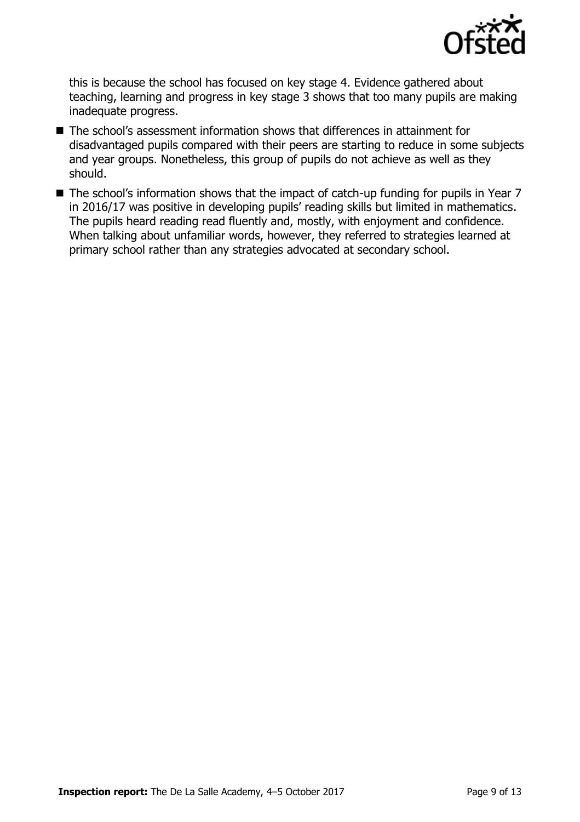

this is because the school has focused on key stage 4. Evidence gathered about teaching, learning and progress in key stage 3 shows that too many pupils are making inadequate progress.

- The school's assessment information shows that differences in attainment for disadvantaged pupils compared with their peers are starting to reduce in some subjects and year groups. Nonetheless, this group of pupils do not achieve as well as they should.
- The school's information shows that the impact of catch-up funding for pupils in Year 7 in 2016/17 was positive in developing pupils' reading skills but limited in mathematics. The pupils heard reading read fluently and, mostly, with enjoyment and confidence. When talking about unfamiliar words, however, they referred to strategies learned at primary school rather than any strategies advocated at secondary school.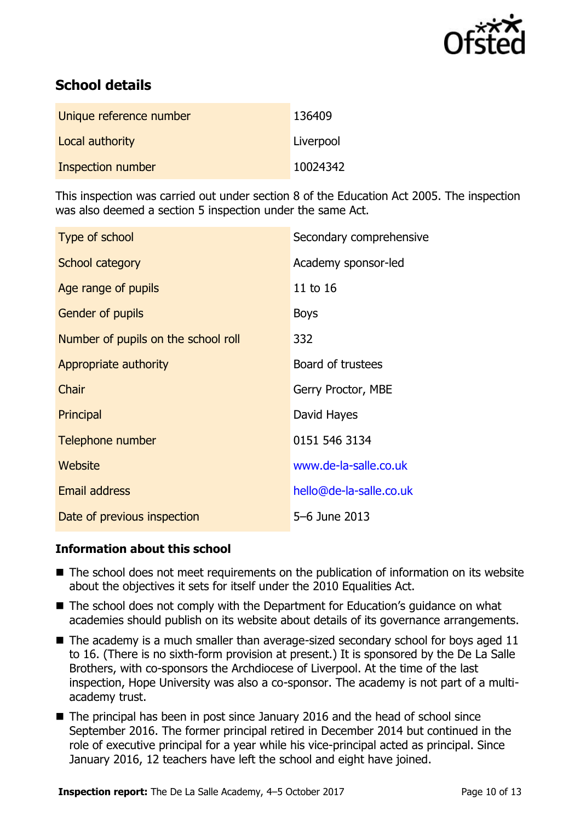

# **School details**

| Unique reference number | 136409    |
|-------------------------|-----------|
| Local authority         | Liverpool |
| Inspection number       | 10024342  |

This inspection was carried out under section 8 of the Education Act 2005. The inspection was also deemed a section 5 inspection under the same Act.

| Type of school                      | Secondary comprehensive |
|-------------------------------------|-------------------------|
| School category                     | Academy sponsor-led     |
| Age range of pupils                 | 11 to 16                |
| <b>Gender of pupils</b>             | <b>Boys</b>             |
| Number of pupils on the school roll | 332                     |
| Appropriate authority               | Board of trustees       |
| Chair                               | Gerry Proctor, MBE      |
| Principal                           | David Hayes             |
| Telephone number                    | 0151 546 3134           |
| Website                             | www.de-la-salle.co.uk   |
| <b>Email address</b>                | hello@de-la-salle.co.uk |
| Date of previous inspection         | 5-6 June 2013           |

### **Information about this school**

- The school does not meet requirements on the publication of information on its website about the objectives it sets for itself under the 2010 Equalities Act.
- The school does not comply with the Department for Education's guidance on what academies should publish on its website about details of its governance arrangements.
- $\blacksquare$  The academy is a much smaller than average-sized secondary school for boys aged 11 to 16. (There is no sixth-form provision at present.) It is sponsored by the De La Salle Brothers, with co-sponsors the Archdiocese of Liverpool. At the time of the last inspection, Hope University was also a co-sponsor. The academy is not part of a multiacademy trust.
- The principal has been in post since January 2016 and the head of school since September 2016. The former principal retired in December 2014 but continued in the role of executive principal for a year while his vice-principal acted as principal. Since January 2016, 12 teachers have left the school and eight have joined.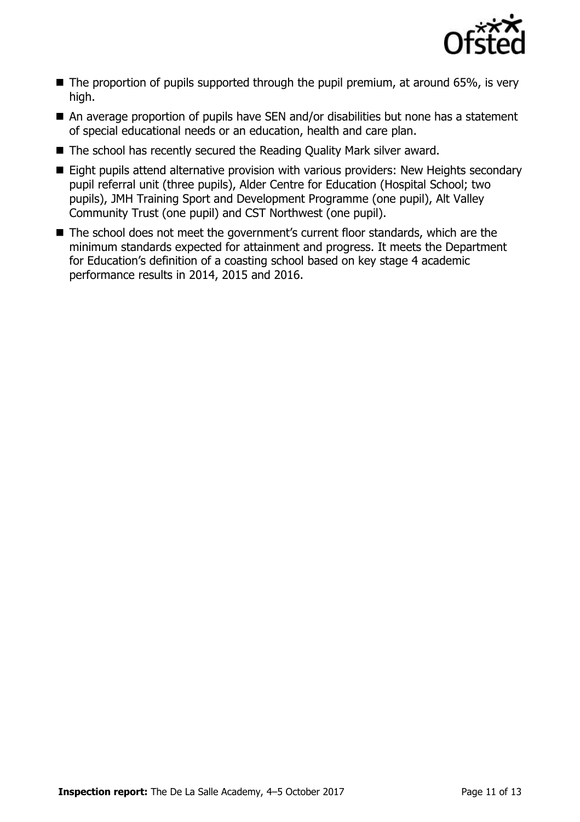

- $\blacksquare$  The proportion of pupils supported through the pupil premium, at around 65%, is very high.
- An average proportion of pupils have SEN and/or disabilities but none has a statement of special educational needs or an education, health and care plan.
- The school has recently secured the Reading Quality Mark silver award.
- **Eight pupils attend alternative provision with various providers: New Heights secondary** pupil referral unit (three pupils), Alder Centre for Education (Hospital School; two pupils), JMH Training Sport and Development Programme (one pupil), Alt Valley Community Trust (one pupil) and CST Northwest (one pupil).
- The school does not meet the government's current floor standards, which are the minimum standards expected for attainment and progress. It meets the Department for Education's definition of a coasting school based on key stage 4 academic performance results in 2014, 2015 and 2016.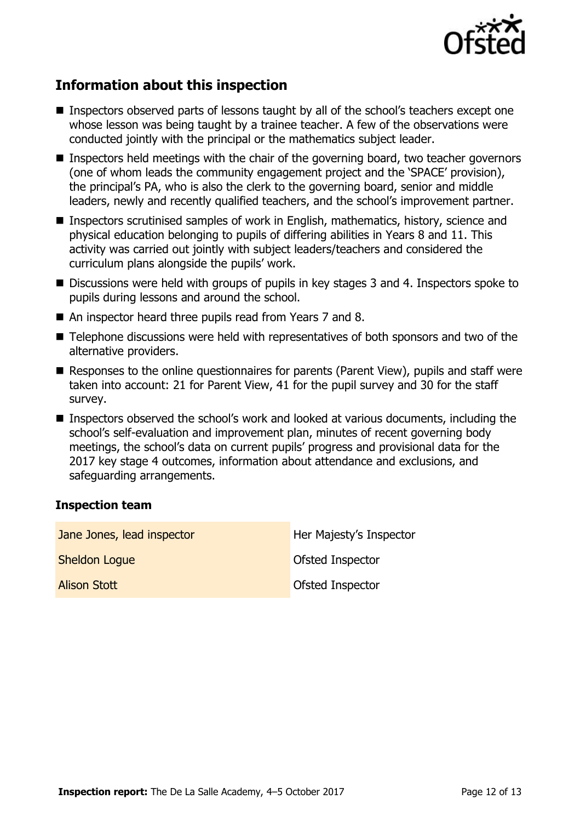

# **Information about this inspection**

- Inspectors observed parts of lessons taught by all of the school's teachers except one whose lesson was being taught by a trainee teacher. A few of the observations were conducted jointly with the principal or the mathematics subject leader.
- Inspectors held meetings with the chair of the governing board, two teacher governors (one of whom leads the community engagement project and the 'SPACE' provision), the principal's PA, who is also the clerk to the governing board, senior and middle leaders, newly and recently qualified teachers, and the school's improvement partner.
- Inspectors scrutinised samples of work in English, mathematics, history, science and physical education belonging to pupils of differing abilities in Years 8 and 11. This activity was carried out jointly with subject leaders/teachers and considered the curriculum plans alongside the pupils' work.
- Discussions were held with groups of pupils in key stages 3 and 4. Inspectors spoke to pupils during lessons and around the school.
- An inspector heard three pupils read from Years 7 and 8.
- Telephone discussions were held with representatives of both sponsors and two of the alternative providers.
- Responses to the online questionnaires for parents (Parent View), pupils and staff were taken into account: 21 for Parent View, 41 for the pupil survey and 30 for the staff survey.
- Inspectors observed the school's work and looked at various documents, including the school's self-evaluation and improvement plan, minutes of recent governing body meetings, the school's data on current pupils' progress and provisional data for the 2017 key stage 4 outcomes, information about attendance and exclusions, and safeguarding arrangements.

### **Inspection team**

| Jane Jones, lead inspector | Her Majesty's Inspector |
|----------------------------|-------------------------|
| <b>Sheldon Logue</b>       | Ofsted Inspector        |
| <b>Alison Stott</b>        | Ofsted Inspector        |